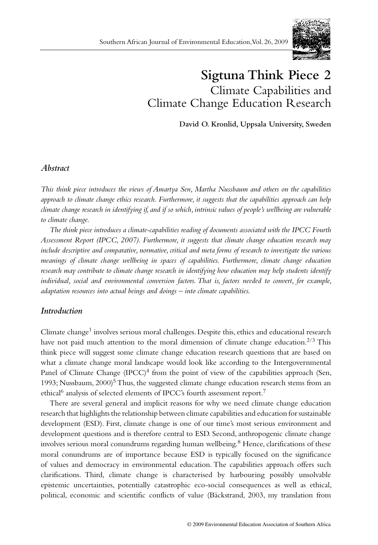

# **Sigtuna Think Piece 2**  Climate Capabilities and Climate Change Education Research

**David O. Kronlid, Uppsala University, Sweden**

# *Abstract*

*This think piece introduces the views of Amartya Sen, Martha Nussbaum and others on the capabilities approach to climate change ethics research. Furthermore, it suggests that the capabilities approach can help climate change research in identifying if, and if so which, intrinsic values of people's wellbeing are vulnerable to climate change.* 

*The think piece introduces a climate-capabilities reading of documents associated with the IPCC Fourth Assessment Report (IPCC, 2007). Furthermore, it suggests that climate change education research may include descriptive and comparative, normative, critical and meta forms of research to investigate the various meanings of climate change wellbeing in spaces of capabilities. Furthermore, climate change education research may contribute to climate change research in identifying how education may help students identify individual, social and environmental conversion factors. That is, factors needed to convert, for example, adaptation resources into actual beings and doings – into climate capabilities.*

## *Introduction*

Climate change<sup>1</sup> involves serious moral challenges. Despite this, ethics and educational research have not paid much attention to the moral dimension of climate change education.<sup>2/3</sup> This think piece will suggest some climate change education research questions that are based on what a climate change moral landscape would look like according to the Intergovernmental Panel of Climate Change  $(IPCC)^4$  from the point of view of the capabilities approach (Sen, 1993; Nussbaum,  $2000$ <sup>5</sup> Thus, the suggested climate change education research stems from an ethical<sup>6</sup> analysis of selected elements of IPCC's fourth assessment report.<sup>7</sup>

There are several general and implicit reasons for why we need climate change education research that highlights the relationship between climate capabilities and education for sustainable development (ESD). First, climate change is one of our time's most serious environment and development questions and is therefore central to ESD. Second, anthropogenic climate change involves serious moral conundrums regarding human wellbeing.<sup>8</sup> Hence, clarifications of these moral conundrums are of importance because ESD is typically focused on the significance of values and democracy in environmental education. The capabilities approach offers such clarifications. Third, climate change is characterised by harbouring possibly unsolvable epistemic uncertainties, potentially catastrophic eco-social consequences as well as ethical, political, economic and scientific conflicts of value (Bäckstrand, 2003, my translation from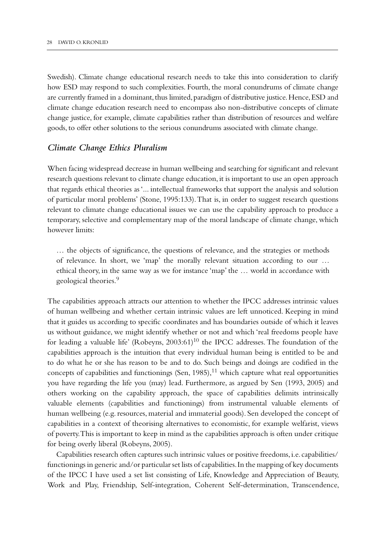Swedish). Climate change educational research needs to take this into consideration to clarify how ESD may respond to such complexities. Fourth, the moral conundrums of climate change are currently framed in a dominant, thus limited, paradigm of distributive justice. Hence, ESD and climate change education research need to encompass also non-distributive concepts of climate change justice, for example, climate capabilities rather than distribution of resources and welfare goods, to offer other solutions to the serious conundrums associated with climate change.

## *Climate Change Ethics Pluralism*

When facing widespread decrease in human wellbeing and searching for significant and relevant research questions relevant to climate change education, it is important to use an open approach that regards ethical theories as '... intellectual frameworks that support the analysis and solution of particular moral problems' (Stone, 1995:133). That is, in order to suggest research questions relevant to climate change educational issues we can use the capability approach to produce a temporary, selective and complementary map of the moral landscape of climate change, which however limits:

… the objects of significance, the questions of relevance, and the strategies or methods of relevance. In short, we 'map' the morally relevant situation according to our … ethical theory, in the same way as we for instance 'map' the … world in accordance with geological theories.<sup>9</sup>

The capabilities approach attracts our attention to whether the IPCC addresses intrinsic values of human wellbeing and whether certain intrinsic values are left unnoticed. Keeping in mind that it guides us according to specific coordinates and has boundaries outside of which it leaves us without guidance, we might identify whether or not and which 'real freedoms people have for leading a valuable life' (Robeyns,  $2003:61$ )<sup>10</sup> the IPCC addresses. The foundation of the capabilities approach is the intuition that every individual human being is entitled to be and to do what he or she has reason to be and to do. Such beings and doings are codified in the concepts of capabilities and functionings (Sen,  $1985$ ),<sup>11</sup> which capture what real opportunities you have regarding the life you (may) lead. Furthermore, as argued by Sen (1993, 2005) and others working on the capability approach, the space of capabilities delimits intrinsically valuable elements (capabilities and functionings) from instrumental valuable elements of human wellbeing (e.g. resources, material and immaterial goods). Sen developed the concept of capabilities in a context of theorising alternatives to economistic, for example welfarist, views of poverty. This is important to keep in mind as the capabilities approach is often under critique for being overly liberal (Robeyns, 2005).

Capabilities research often captures such intrinsic values or positive freedoms, i.e. capabilities/ functionings in generic and/or particular set lists of capabilities. In the mapping of key documents of the IPCC I have used a set list consisting of Life, Knowledge and Appreciation of Beauty, Work and Play, Friendship, Self-integration, Coherent Self-determination, Transcendence,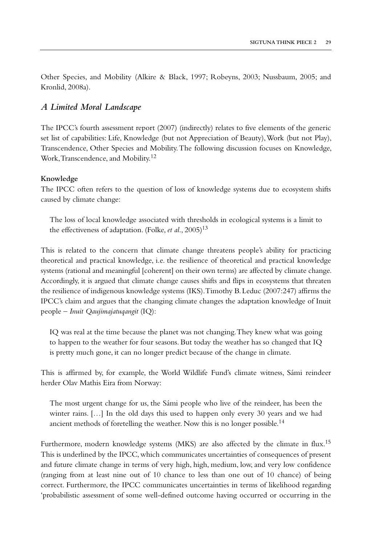Other Species, and Mobility (Alkire & Black, 1997; Robeyns, 2003; Nussbaum, 2005; and Kronlid, 2008a).

# *A Limited Moral Landscape*

The IPCC's fourth assessment report (2007) (indirectly) relates to five elements of the generic set list of capabilities: Life, Knowledge (but not Appreciation of Beauty), Work (but not Play), Transcendence, Other Species and Mobility. The following discussion focuses on Knowledge, Work, Transcendence, and Mobility.12

### **Knowledge**

The IPCC often refers to the question of loss of knowledge systems due to ecosystem shifts caused by climate change:

The loss of local knowledge associated with thresholds in ecological systems is a limit to the effectiveness of adaptation. (Folke, *et al.*, 2005)<sup>13</sup>

This is related to the concern that climate change threatens people's ability for practicing theoretical and practical knowledge, i.e. the resilience of theoretical and practical knowledge systems (rational and meaningful [coherent] on their own terms) are affected by climate change. Accordingly, it is argued that climate change causes shifts and flips in ecosystems that threaten the resilience of indigenous knowledge systems (IKS). Timothy B. Leduc (2007:247) affirms the IPCC's claim and argues that the changing climate changes the adaptation knowledge of Inuit people – *Inuit Qaujimajatuqangit* (IQ):

IQ was real at the time because the planet was not changing. They knew what was going to happen to the weather for four seasons. But today the weather has so changed that IQ is pretty much gone, it can no longer predict because of the change in climate.

This is affirmed by, for example, the World Wildlife Fund's climate witness, Sámi reindeer herder Olav Mathis Eira from Norway:

The most urgent change for us, the Sámi people who live of the reindeer, has been the winter rains. […] In the old days this used to happen only every 30 years and we had ancient methods of foretelling the weather. Now this is no longer possible.<sup>14</sup>

Furthermore, modern knowledge systems (MKS) are also affected by the climate in flux.<sup>15</sup> This is underlined by the IPCC, which communicates uncertainties of consequences of present and future climate change in terms of very high, high, medium, low, and very low confidence (ranging from at least nine out of 10 chance to less than one out of 10 chance) of being correct. Furthermore, the IPCC communicates uncertainties in terms of likelihood regarding 'probabilistic assessment of some well-defined outcome having occurred or occurring in the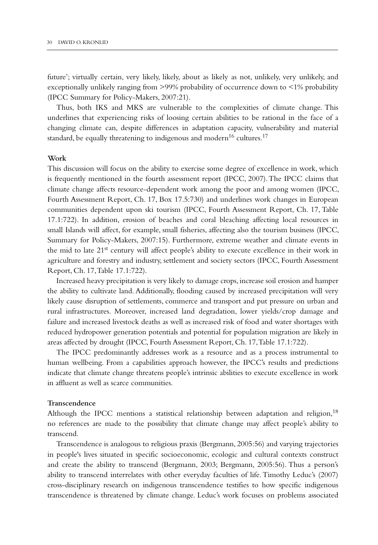future'; virtually certain, very likely, likely, about as likely as not, unlikely, very unlikely, and exceptionally unlikely ranging from >99% probability of occurrence down to <1% probability (IPCC Summary for Policy-Makers, 2007:21).

Thus, both IKS and MKS are vulnerable to the complexities of climate change. This underlines that experiencing risks of loosing certain abilities to be rational in the face of a changing climate can, despite differences in adaptation capacity, vulnerability and material standard, be equally threatening to indigenous and modern<sup>16</sup> cultures.<sup>17</sup>

#### **Work**

This discussion will focus on the ability to exercise some degree of excellence in work, which is frequently mentioned in the fourth assessment report (IPCC, 2007). The IPCC claims that climate change affects resource-dependent work among the poor and among women (IPCC, Fourth Assessment Report, Ch. 17, Box 17.5:730) and underlines work changes in European communities dependent upon ski tourism (IPCC, Fourth Assessment Report, Ch. 17, Table 17.1:722). In addition, erosion of beaches and coral bleaching affecting local resources in small Islands will affect, for example, small fisheries, affecting also the tourism business (IPCC, Summary for Policy-Makers, 2007:15). Furthermore, extreme weather and climate events in the mid to late  $21<sup>st</sup>$  century will affect people's ability to execute excellence in their work in agriculture and forestry and industry, settlement and society sectors (IPCC, Fourth Assessment Report, Ch. 17, Table 17.1:722).

Increased heavy precipitation is very likely to damage crops, increase soil erosion and hamper the ability to cultivate land. Additionally, flooding caused by increased precipitation will very likely cause disruption of settlements, commerce and transport and put pressure on urban and rural infrastructures. Moreover, increased land degradation, lower yields/crop damage and failure and increased livestock deaths as well as increased risk of food and water shortages with reduced hydropower generation potentials and potential for population migration are likely in areas affected by drought (IPCC, Fourth Assessment Report, Ch. 17, Table 17.1:722).

The IPCC predominantly addresses work as a resource and as a process instrumental to human wellbeing. From a capabilities approach however, the IPCC's results and predictions indicate that climate change threatens people's intrinsic abilities to execute excellence in work in affluent as well as scarce communities.

## **Transcendence**

Although the IPCC mentions a statistical relationship between adaptation and religion, $18$ no references are made to the possibility that climate change may affect people's ability to transcend.

Transcendence is analogous to religious praxis (Bergmann, 2005:56) and varying trajectories in people's lives situated in specific socioeconomic, ecologic and cultural contexts construct and create the ability to transcend (Bergmann, 2003; Bergmann, 2005:56). Thus a person's ability to transcend interrelates with other everyday faculties of life. Timothy Leduc's (2007) cross-disciplinary research on indigenous transcendence testifies to how specific indigenous transcendence is threatened by climate change. Leduc's work focuses on problems associated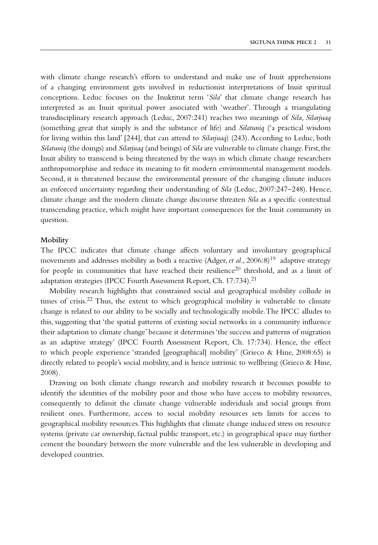with climate change research's efforts to understand and make use of Inuit apprehensions of a changing environment gets involved in reductionist interpretations of Inuit spiritual conceptions. Leduc focuses on the Inuktitut term '*Sila*' that climate change research has interpreted as an Inuit spiritual power associated with 'weather'. Through a triangulating transdisciplinary research approach (Leduc, 2007:241) reaches two meanings of *Sila*, *Silarjuaq* (something great that simply is and the substance of life) and *Silatuniq* ('a practical wisdom for living within this land' [244], that can attend to *Silarjuaq*) (243). According to Leduc, both *Silatuniq* (the doings) and *Silarjuaq* (and beings) of *Sila* are vulnerable to climate change. First, the Inuit ability to transcend is being threatened by the ways in which climate change researchers anthropomorphise and reduce its meaning to fit modern environmental management models. Second, it is threatened because the environmental pressure of the changing climate induces an enforced uncertainty regarding their understanding of *Sila* (Leduc, 2007:247–248). Hence, climate change and the modern climate change discourse threaten *Sila* as a specific contextual transcending practice, which might have important consequences for the Inuit community in question.

#### **Mobility**

The IPCC indicates that climate change affects voluntary and involuntary geographical movements and addresses mobility as both a reactive (Adger, *et al.*, 2006:8)<sup>19</sup> adaptive strategy for people in communities that have reached their resilience<sup>20</sup> threshold, and as a limit of adaptation strategies (IPCC Fourth Assessment Report, Ch. 17:734).<sup>21</sup>

Mobility research highlights that constrained social and geographical mobility collude in times of crisis.<sup>22</sup> Thus, the extent to which geographical mobility is vulnerable to climate change is related to our ability to be socially and technologically mobile. The IPCC alludes to this, suggesting that 'the spatial patterns of existing social networks in a community influence their adaptation to climate change' because it determines 'the success and patterns of migration as an adaptive strategy' (IPCC Fourth Assessment Report, Ch. 17:734). Hence, the effect to which people experience 'stranded [geographical] mobility' (Grieco & Hine, 2008:65) is directly related to people's social mobility, and is hence intrinsic to wellbeing (Grieco & Hine, 2008).

Drawing on both climate change research and mobility research it becomes possible to identify the identities of the mobility poor and those who have access to mobility resources, consequently to delimit the climate change vulnerable individuals and social groups from resilient ones. Furthermore, access to social mobility resources sets limits for access to geographical mobility resources. This highlights that climate change induced stress on resource systems (private car ownership, factual public transport, etc.) in geographical space may further cement the boundary between the more vulnerable and the less vulnerable in developing and developed countries.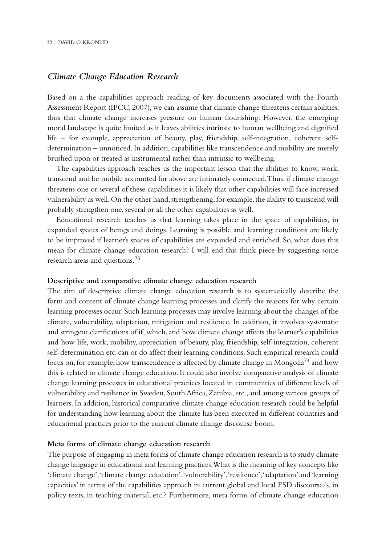## *Climate Change Education Research*

Based on a the capabilities approach reading of key documents associated with the Fourth Assessment Report (IPCC, 2007), we can assume that climate change threatens certain abilities, thus that climate change increases pressure on human flourishing. However, the emerging moral landscape is quite limited as it leaves abilities intrinsic to human wellbeing and dignified life – for example, appreciation of beauty, play, friendship, self-integration, coherent selfdetermination – unnoticed. In addition, capabilities like transcendence and mobility are merely brushed upon or treated as instrumental rather than intrinsic to wellbeing.

The capabilities approach teaches us the important lesson that the abilities to know, work, transcend and be mobile accounted for above are intimately connected. Thus, if climate change threatens one or several of these capabilities it is likely that other capabilities will face increased vulnerability as well. On the other hand, strengthening, for example, the ability to transcend will probably strengthen one, several or all the other capabilities as well.

Educational research teaches us that learning takes place in the space of capabilities, in expanded spaces of beings and doings. Learning is possible and learning conditions are likely to be improved if learner's spaces of capabilities are expanded and enriched. So, what does this mean for climate change education research? I will end this think piece by suggesting some research areas and questions.23

#### **Descriptive and comparative climate change education research**

The aim of descriptive climate change education research is to systematically describe the form and content of climate change learning processes and clarify the reasons for why certain learning processes occur. Such learning processes may involve learning about the changes of the climate, vulnerability, adaptation, mitigation and resilience. In addition, it involves systematic and stringent clarifications of if, which, and how climate change affects the learner's capabilities and how life, work, mobility, appreciation of beauty, play, friendship, self-integration, coherent self-determination etc. can or do affect their learning conditions. Such empirical research could focus on, for example, how transcendence is affected by climate change in Mongolia<sup>24</sup> and how this is related to climate change education. It could also involve comparative analysis of climate change learning processes in educational practices located in communities of different levels of vulnerability and resilience in Sweden, South Africa, Zambia, etc., and among various groups of learners. In addition, historical comparative climate change education research could be helpful for understanding how learning about the climate has been executed in different countries and educational practices prior to the current climate change discourse boom.

#### **Meta forms of climate change education research**

The purpose of engaging in meta forms of climate change education research is to study climate change language in educational and learning practices. What is the meaning of key concepts like 'climate change', 'climate change education', 'vulnerability', 'resilience', 'adaptation' and 'learning capacities' in terms of the capabilities approach in current global and local ESD discourse/s, in policy texts, in teaching material, etc.? Furthermore, meta forms of climate change education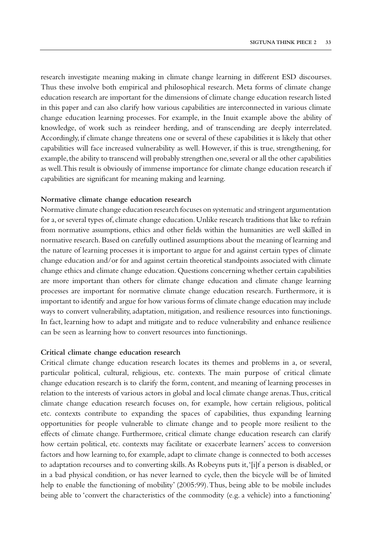research investigate meaning making in climate change learning in different ESD discourses. Thus these involve both empirical and philosophical research. Meta forms of climate change education research are important for the dimensions of climate change education research listed in this paper and can also clarify how various capabilities are interconnected in various climate change education learning processes. For example, in the Inuit example above the ability of knowledge, of work such as reindeer herding, and of transcending are deeply interrelated. Accordingly, if climate change threatens one or several of these capabilities it is likely that other capabilities will face increased vulnerability as well. However, if this is true, strengthening, for example, the ability to transcend will probably strengthen one, several or all the other capabilities as well. This result is obviously of immense importance for climate change education research if capabilities are significant for meaning making and learning.

#### **Normative climate change education research**

Normative climate change education research focuses on systematic and stringent argumentation for a, or several types of, climate change education. Unlike research traditions that like to refrain from normative assumptions, ethics and other fields within the humanities are well skilled in normative research. Based on carefully outlined assumptions about the meaning of learning and the nature of learning processes it is important to argue for and against certain types of climate change education and/or for and against certain theoretical standpoints associated with climate change ethics and climate change education. Questions concerning whether certain capabilities are more important than others for climate change education and climate change learning processes are important for normative climate change education research. Furthermore, it is important to identify and argue for how various forms of climate change education may include ways to convert vulnerability, adaptation, mitigation, and resilience resources into functionings. In fact, learning how to adapt and mitigate and to reduce vulnerability and enhance resilience can be seen as learning how to convert resources into functionings.

#### **Critical climate change education research**

Critical climate change education research locates its themes and problems in a, or several, particular political, cultural, religious, etc. contexts. The main purpose of critical climate change education research is to clarify the form, content, and meaning of learning processes in relation to the interests of various actors in global and local climate change arenas. Thus, critical climate change education research focuses on, for example, how certain religious, political etc. contexts contribute to expanding the spaces of capabilities, thus expanding learning opportunities for people vulnerable to climate change and to people more resilient to the effects of climate change. Furthermore, critical climate change education research can clarify how certain political, etc. contexts may facilitate or exacerbate learners' access to conversion factors and how learning to, for example, adapt to climate change is connected to both accesses to adaptation recourses and to converting skills. As Robeyns puts it, '[i]f a person is disabled, or in a bad physical condition, or has never learned to cycle, then the bicycle will be of limited help to enable the functioning of mobility' (2005:99). Thus, being able to be mobile includes being able to 'convert the characteristics of the commodity (e.g. a vehicle) into a functioning'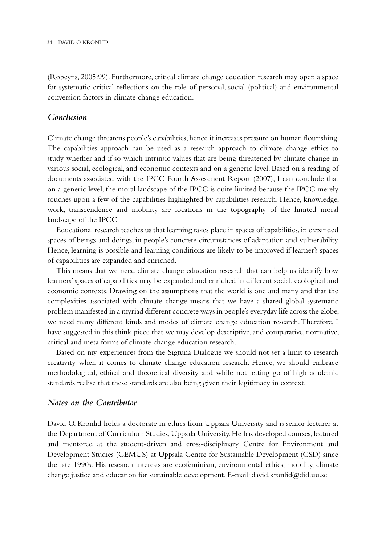(Robeyns, 2005:99). Furthermore, critical climate change education research may open a space for systematic critical reflections on the role of personal, social (political) and environmental conversion factors in climate change education.

# *Conclusion*

Climate change threatens people's capabilities, hence it increases pressure on human flourishing. The capabilities approach can be used as a research approach to climate change ethics to study whether and if so which intrinsic values that are being threatened by climate change in various social, ecological, and economic contexts and on a generic level. Based on a reading of documents associated with the IPCC Fourth Assessment Report (2007), I can conclude that on a generic level, the moral landscape of the IPCC is quite limited because the IPCC merely touches upon a few of the capabilities highlighted by capabilities research. Hence, knowledge, work, transcendence and mobility are locations in the topography of the limited moral landscape of the IPCC.

Educational research teaches us that learning takes place in spaces of capabilities, in expanded spaces of beings and doings, in people's concrete circumstances of adaptation and vulnerability. Hence, learning is possible and learning conditions are likely to be improved if learner's spaces of capabilities are expanded and enriched.

This means that we need climate change education research that can help us identify how learners' spaces of capabilities may be expanded and enriched in different social, ecological and economic contexts. Drawing on the assumptions that the world is one and many and that the complexities associated with climate change means that we have a shared global systematic problem manifested in a myriad different concrete ways in people's everyday life across the globe, we need many different kinds and modes of climate change education research. Therefore, I have suggested in this think piece that we may develop descriptive, and comparative, normative, critical and meta forms of climate change education research.

Based on my experiences from the Sigtuna Dialogue we should not set a limit to research creativity when it comes to climate change education research. Hence, we should embrace methodological, ethical and theoretical diversity and while not letting go of high academic standards realise that these standards are also being given their legitimacy in context.

# *Notes on the Contributor*

David O. Kronlid holds a doctorate in ethics from Uppsala University and is senior lecturer at the Department of Curriculum Studies, Uppsala University. He has developed courses, lectured and mentored at the student-driven and cross-disciplinary Centre for Environment and Development Studies (CEMUS) at Uppsala Centre for Sustainable Development (CSD) since the late 1990s. His research interests are ecofeminism, environmental ethics, mobility, climate change justice and education for sustainable development. E-mail: david.kronlid@did.uu.se.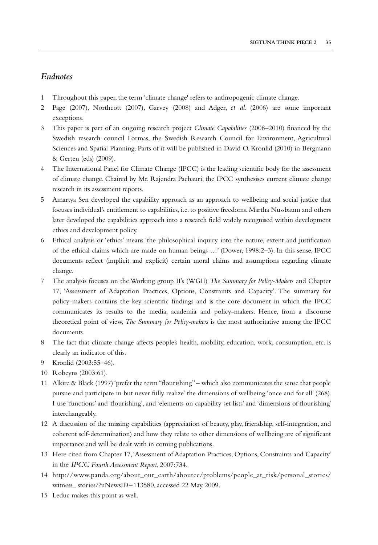# *Endnotes*

- 1 Throughout this paper, the term 'climate change' refers to anthropogenic climate change.
- 2 Page (2007), Northcott (2007), Garvey (2008) and Adger, *et al*. (2006) are some important exceptions.
- 3 This paper is part of an ongoing research project *Climate Capabilities* (2008–2010) financed by the Swedish research council Formas, the Swedish Research Council for Environment, Agricultural Sciences and Spatial Planning. Parts of it will be published in David O. Kronlid (2010) in Bergmann & Gerten (eds) (2009).
- 4 The International Panel for Climate Change (IPCC) is the leading scientific body for the assessment of climate change. Chaired by Mr. Rajendra Pachauri, the IPCC synthesises current climate change research in its assessment reports.
- 5 Amartya Sen developed the capability approach as an approach to wellbeing and social justice that focuses individual's entitlement to capabilities, i.e. to positive freedoms. Martha Nussbaum and others later developed the capabilities approach into a research field widely recognised within development ethics and development policy.
- 6 Ethical analysis or 'ethics' means 'the philosophical inquiry into the nature, extent and justification of the ethical claims which are made on human beings …' (Dower, 1998:2–3). In this sense, IPCC documents reflect (implicit and explicit) certain moral claims and assumptions regarding climate change.
- 7 The analysis focuses on the Working group II's (WGII) *The Summary for Policy-Makers* and Chapter 17, 'Assessment of Adaptation Practices, Options, Constraints and Capacity'. The summary for policy-makers contains the key scientific findings and is the core document in which the IPCC communicates its results to the media, academia and policy-makers. Hence, from a discourse theoretical point of view, *The Summary for Policy-makers* is the most authoritative among the IPCC documents.
- 8 The fact that climate change affects people's health, mobility, education, work, consumption, etc. is clearly an indicator of this.
- 9 Kronlid (2003:55–46).
- 10 Robeyns (2003:61).
- 11 Alkire & Black (1997) 'prefer the term "flourishing" which also communicates the sense that people pursue and participate in but never fully realize' the dimensions of wellbeing 'once and for all' (268). I use 'functions' and 'flourishing', and 'elements on capability set lists' and 'dimensions of flourishing' interchangeably.
- 12 A discussion of the missing capabilities (appreciation of beauty, play, friendship, self-integration, and coherent self-determination) and how they relate to other dimensions of wellbeing are of significant importance and will be dealt with in coming publications.
- 13 Here cited from Chapter 17, 'Assessment of Adaptation Practices, Options, Constraints and Capacity' in the *IPCC Fourth Assessment Report*, 2007:734.
- 14 http://www.panda.org/about\_our\_earth/aboutcc/problems/people\_at\_risk/personal\_stories/ witness\_ stories/?uNewsID=113580, accessed 22 May 2009.
- 15 Leduc makes this point as well.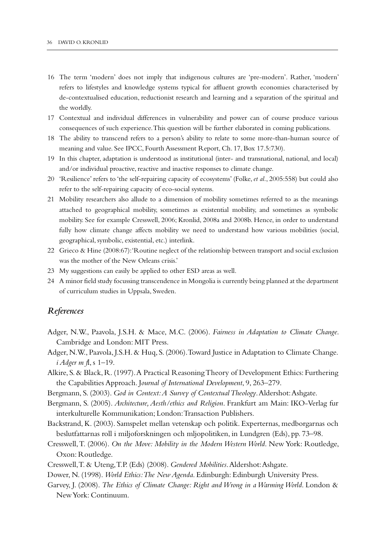- 16 The term 'modern' does not imply that indigenous cultures are 'pre-modern'. Rather, 'modern' refers to lifestyles and knowledge systems typical for affluent growth economies characterised by de-contextualised education, reductionist research and learning and a separation of the spiritual and the worldly.
- 17 Contextual and individual differences in vulnerability and power can of course produce various consequences of such experience. This question will be further elaborated in coming publications.
- 18 The ability to transcend refers to a person's ability to relate to some more-than-human source of meaning and value. See IPCC, Fourth Assessment Report, Ch. 17, Box 17.5:730).
- 19 In this chapter, adaptation is understood as institutional (inter- and transnational, national, and local) and/or individual proactive, reactive and inactive responses to climate change.
- 20 'Resilience' refers to 'the self-repairing capacity of ecosystems' (Folke, *et al*., 2005:558) but could also refer to the self-repairing capacity of eco-social systems.
- 21 Mobility researchers also allude to a dimension of mobility sometimes referred to as the meanings attached to geographical mobility, sometimes as existential mobility, and sometimes as symbolic mobility. See for example Cresswell, 2006; Kronlid, 2008a and 2008b. Hence, in order to understand fully how climate change affects mobility we need to understand how various mobilities (social, geographical, symbolic, existential, etc.) interlink.
- 22 Grieco & Hine (2008:67): 'Routine neglect of the relationship between transport and social exclusion was the mother of the New Orleans crisis.'
- 23 My suggestions can easily be applied to other ESD areas as well.
- 24 A minor field study focussing transcendence in Mongolia is currently being planned at the department of curriculum studies in Uppsala, Sweden.

## *References*

- Adger, N.W., Paavola, J.S.H. & Mace, M.C. (2006). *Fairness in Adaptation to Climate Change*. Cambridge and London: MIT Press.
- Adger, N.W., Paavola, J.S.H. & Huq, S. (2006). Toward Justice in Adaptation to Climate Change. *i Adger m f*l, s 1–19.
- Alkire, S. & Black, R. (1997). A Practical Reasoning Theory of Development Ethics: Furthering the Capabilities Approach. J*ournal of International Development*, 9, 263–279.
- Bergmann, S. (2003). *God in Context: A Survey of Contextual Theology*. Aldershot: Ashgate.
- Bergmann, S. (2005). *Architecture, Aesth/ethics and Religion*. Frankfurt am Main: IKO-Verlag fur interkulturelle Kommunikation; London: Transaction Publishers.
- Backstrand, K. (2003). Samspelet mellan vetenskap och politik. Experternas, medborgarnas och beslutfattarnas roll i miljoforskningen och mljopolitiken, in Lundgren (Eds), pp. 73–98.
- Cresswell, T. (2006). *On the Move: Mobility in the Modern Western World*. New York: Routledge, Oxon: Routledge.
- Cresswell, T. & Uteng, T.P. (Eds) (2008). *Gendered Mobilities*. Aldershot: Ashgate.
- Dower, N. (1998). *World Ethics: The New Agenda*. Edinburgh: Edinburgh University Press.
- Garvey, J. (2008). *The Ethics of Climate Change: Right and Wrong in a Warming World*. London & New York: Continuum.